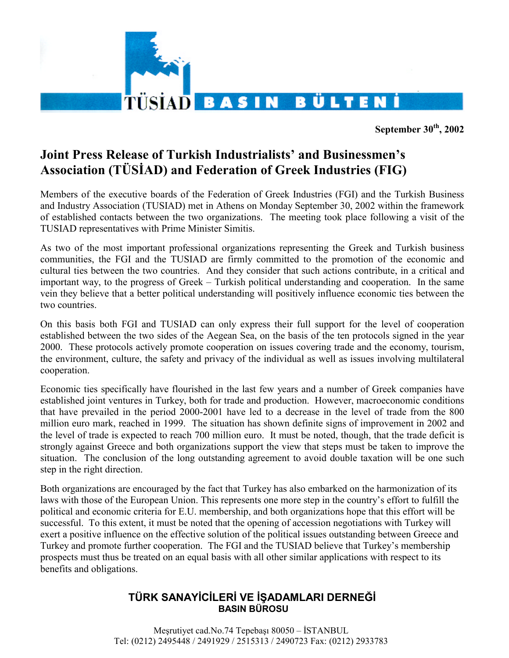

**September 30th, 2002** 

## **Joint Press Release of Turkish Industrialists' and Businessmen's Association (TÜSİAD) and Federation of Greek Industries (FIG)**

Members of the executive boards of the Federation of Greek Industries (FGI) and the Turkish Business and Industry Association (TUSIAD) met in Athens on Monday September 30, 2002 within the framework of established contacts between the two organizations. The meeting took place following a visit of the TUSIAD representatives with Prime Minister Simitis.

As two of the most important professional organizations representing the Greek and Turkish business communities, the FGI and the TUSIAD are firmly committed to the promotion of the economic and cultural ties between the two countries. And they consider that such actions contribute, in a critical and important way, to the progress of Greek – Turkish political understanding and cooperation. In the same vein they believe that a better political understanding will positively influence economic ties between the two countries.

On this basis both FGI and TUSIAD can only express their full support for the level of cooperation established between the two sides of the Aegean Sea, on the basis of the ten protocols signed in the year 2000. These protocols actively promote cooperation on issues covering trade and the economy, tourism, the environment, culture, the safety and privacy of the individual as well as issues involving multilateral cooperation.

Economic ties specifically have flourished in the last few years and a number of Greek companies have established joint ventures in Turkey, both for trade and production. However, macroeconomic conditions that have prevailed in the period 2000-2001 have led to a decrease in the level of trade from the 800 million euro mark, reached in 1999. The situation has shown definite signs of improvement in 2002 and the level of trade is expected to reach 700 million euro. It must be noted, though, that the trade deficit is strongly against Greece and both organizations support the view that steps must be taken to improve the situation. The conclusion of the long outstanding agreement to avoid double taxation will be one such step in the right direction.

Both organizations are encouraged by the fact that Turkey has also embarked on the harmonization of its laws with those of the European Union. This represents one more step in the country's effort to fulfill the political and economic criteria for E.U. membership, and both organizations hope that this effort will be successful. To this extent, it must be noted that the opening of accession negotiations with Turkey will exert a positive influence on the effective solution of the political issues outstanding between Greece and Turkey and promote further cooperation. The FGI and the TUSIAD believe that Turkey's membership prospects must thus be treated on an equal basis with all other similar applications with respect to its benefits and obligations.

## **TÜRK SANAYİCİLERİ VE İŞADAMLARI DERNEĞİ BASIN BÜROSU**

Meşrutiyet cad.No.74 Tepebaşı 80050 – İSTANBUL Tel: (0212) 2495448 / 2491929 / 2515313 / 2490723 Fax: (0212) 2933783